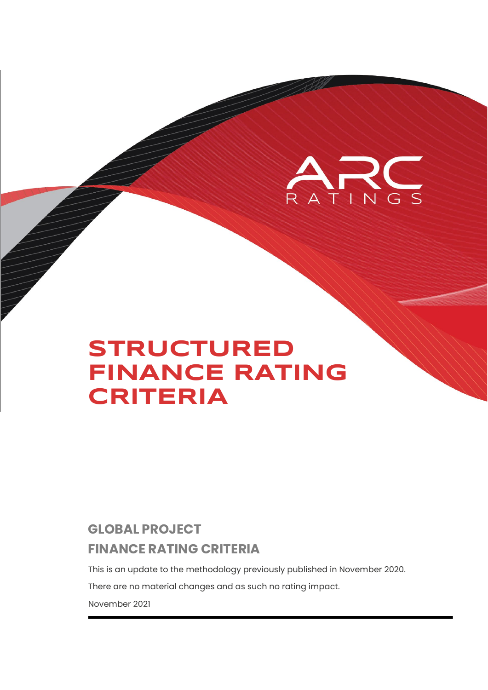

# **STRUCTURED FINANCE RATING CRITERIA**

# **GLOBAL PROJECT FINANCE RATING CRITERIA**

This is an update to the methodology previously published in November 2020.

There are no material changes and as such no rating impact.

November 2021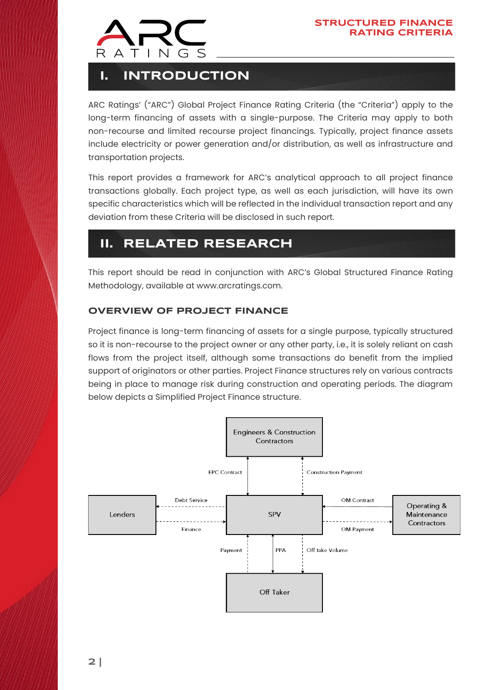

# **I. INTRODUCTION**

ARC Ratings' ("ARC") Global Project Finance Rating Criteria (the "Criteria") apply to the long-term financing of assets with a single-purpose. The Criteria may apply to both non-recourse and limited recourse project financings. Typically, project finance assets include electricity or power generation and/or distribution, as well as infrastructure and transportation projects.

This report provides a framework for ARC's analytical approach to all project finance transactions globally. Each project type, as well as each jurisdiction, will have its own specific characteristics which will be reflected in the individual transaction report and any deviation from these Criteria will be disclosed in such report.

# **II. RELATED RESEARCH**

This report should be read in conjunction with ARC's Global Structured Finance Rating Methodology, available at [www.arcratings.com.](https://arcratings.com/wp-content/uploads/2021/06/ARC-Ratings-Global-Structured-Finance-Criteria-30-Sep-2021.pdf)

## **OVERVIEW OF PROJECT FINANCE**

Project finance is long-term financing of assets for a single purpose, typically structured so it is non-recourse to the project owner or any other party, i.e., it is solely reliant on cash flows from the project itself, although some transactions do benefit from the implied support of originators or other parties. Project Finance structures rely on various contracts being in place to manage risk during construction and operating periods. The diagram below depicts a Simplified Project Finance structure.

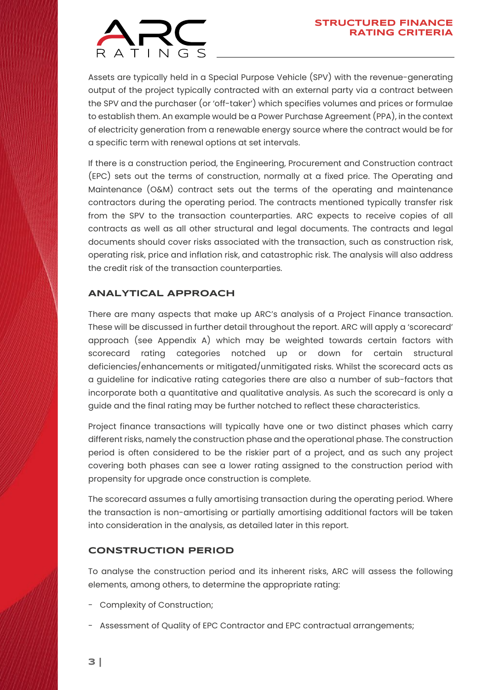

Assets are typically held in a Special Purpose Vehicle (SPV) with the revenue-generating output of the project typically contracted with an external party via a contract between the SPV and the purchaser (or 'off-taker') which specifies volumes and prices or formulae to establish them. An example would be a Power Purchase Agreement (PPA), in the context of electricity generation from a renewable energy source where the contract would be for a specific term with renewal options at set intervals.

If there is a construction period, the Engineering, Procurement and Construction contract (EPC) sets out the terms of construction, normally at a fixed price. The Operating and Maintenance (O&M) contract sets out the terms of the operating and maintenance contractors during the operating period. The contracts mentioned typically transfer risk from the SPV to the transaction counterparties. ARC expects to receive copies of all contracts as well as all other structural and legal documents. The contracts and legal documents should cover risks associated with the transaction, such as construction risk, operating risk, price and inflation risk, and catastrophic risk. The analysis will also address the credit risk of the transaction counterparties.

### **ANALYTICAL APPROACH**

There are many aspects that make up ARC's analysis of a Project Finance transaction. These will be discussed in further detail throughout the report. ARC will apply a 'scorecard' approach (see Appendix A) which may be weighted towards certain factors with scorecard rating categories notched up or down for certain structural deficiencies/enhancements or mitigated/unmitigated risks. Whilst the scorecard acts as a guideline for indicative rating categories there are also a number of sub-factors that incorporate both a quantitative and qualitative analysis. As such the scorecard is only a guide and the final rating may be further notched to reflect these characteristics.

Project finance transactions will typically have one or two distinct phases which carry different risks, namely the construction phase and the operational phase. The construction period is often considered to be the riskier part of a project, and as such any project covering both phases can see a lower rating assigned to the construction period with propensity for upgrade once construction is complete.

The scorecard assumes a fully amortising transaction during the operating period. Where the transaction is non-amortising or partially amortising additional factors will be taken into consideration in the analysis, as detailed later in this report.

### **CONSTRUCTION PERIOD**

To analyse the construction period and its inherent risks, ARC will assess the following elements, among others, to determine the appropriate rating:

- Complexity of Construction;
- Assessment of Quality of EPC Contractor and EPC contractual arrangements;
- **3 |**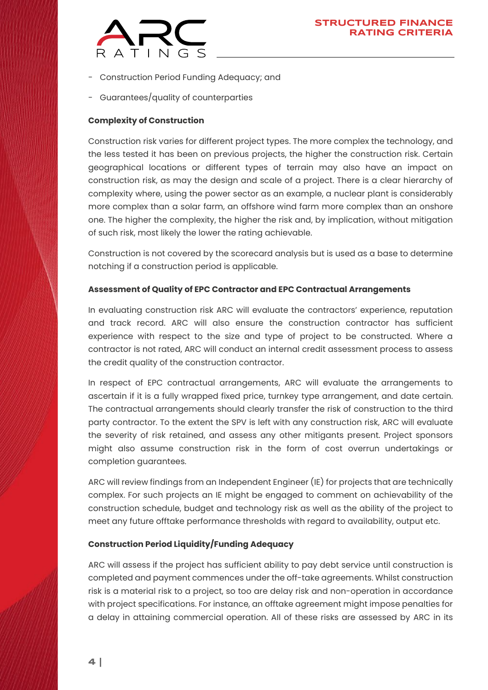- Construction Period Funding Adequacy; and
- Guarantees/quality of counterparties

#### **Complexity of Construction**

Construction risk varies for different project types. The more complex the technology, and the less tested it has been on previous projects, the higher the construction risk. Certain geographical locations or different types of terrain may also have an impact on construction risk, as may the design and scale of a project. There is a clear hierarchy of complexity where, using the power sector as an example, a nuclear plant is considerably more complex than a solar farm, an offshore wind farm more complex than an onshore one. The higher the complexity, the higher the risk and, by implication, without mitigation of such risk, most likely the lower the rating achievable.

Construction is not covered by the scorecard analysis but is used as a base to determine notching if a construction period is applicable.

#### **Assessment of Quality of EPC Contractor and EPC Contractual Arrangements**

In evaluating construction risk ARC will evaluate the contractors' experience, reputation and track record. ARC will also ensure the construction contractor has sufficient experience with respect to the size and type of project to be constructed. Where a contractor is not rated, ARC will conduct an internal credit assessment process to assess the credit quality of the construction contractor.

In respect of EPC contractual arrangements, ARC will evaluate the arrangements to ascertain if it is a fully wrapped fixed price, turnkey type arrangement, and date certain. The contractual arrangements should clearly transfer the risk of construction to the third party contractor. To the extent the SPV is left with any construction risk, ARC will evaluate the severity of risk retained, and assess any other mitigants present. Project sponsors might also assume construction risk in the form of cost overrun undertakings or completion guarantees.

ARC will review findings from an Independent Engineer (IE) for projects that are technically complex. For such projects an IE might be engaged to comment on achievability of the construction schedule, budget and technology risk as well as the ability of the project to meet any future offtake performance thresholds with regard to availability, output etc.

#### **Construction Period Liquidity/Funding Adequacy**

ARC will assess if the project has sufficient ability to pay debt service until construction is completed and payment commences under the off-take agreements. Whilst construction risk is a material risk to a project, so too are delay risk and non-operation in accordance with project specifications. For instance, an offtake agreement might impose penalties for a delay in attaining commercial operation. All of these risks are assessed by ARC in its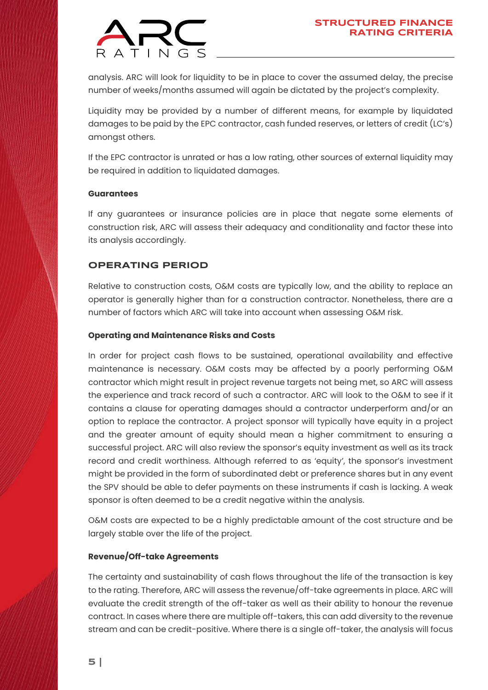

analysis. ARC will look for liquidity to be in place to cover the assumed delay, the precise number of weeks/months assumed will again be dictated by the project's complexity.

Liquidity may be provided by a number of different means, for example by liquidated damages to be paid by the EPC contractor, cash funded reserves, or letters of credit (LC's) amongst others.

If the EPC contractor is unrated or has a low rating, other sources of external liquidity may be required in addition to liquidated damages.

#### **Guarantees**

If any guarantees or insurance policies are in place that negate some elements of construction risk, ARC will assess their adequacy and conditionality and factor these into its analysis accordingly.

### **OPERATING PERIOD**

Relative to construction costs, O&M costs are typically low, and the ability to replace an operator is generally higher than for a construction contractor. Nonetheless, there are a number of factors which ARC will take into account when assessing O&M risk.

#### **Operating and Maintenance Risks and Costs**

In order for project cash flows to be sustained, operational availability and effective maintenance is necessary. O&M costs may be affected by a poorly performing O&M contractor which might result in project revenue targets not being met, so ARC will assess the experience and track record of such a contractor. ARC will look to the O&M to see if it contains a clause for operating damages should a contractor underperform and/or an option to replace the contractor. A project sponsor will typically have equity in a project and the greater amount of equity should mean a higher commitment to ensuring a successful project. ARC will also review the sponsor's equity investment as well as its track record and credit worthiness. Although referred to as 'equity', the sponsor's investment might be provided in the form of subordinated debt or preference shares but in any event the SPV should be able to defer payments on these instruments if cash is lacking. A weak sponsor is often deemed to be a credit negative within the analysis.

O&M costs are expected to be a highly predictable amount of the cost structure and be largely stable over the life of the project.

#### **Revenue/Off-take Agreements**

The certainty and sustainability of cash flows throughout the life of the transaction is key to the rating. Therefore, ARC will assess the revenue/off-take agreements in place. ARC will evaluate the credit strength of the off-taker as well as their ability to honour the revenue contract. In cases where there are multiple off-takers, this can add diversity to the revenue stream and can be credit-positive. Where there is a single off-taker, the analysis will focus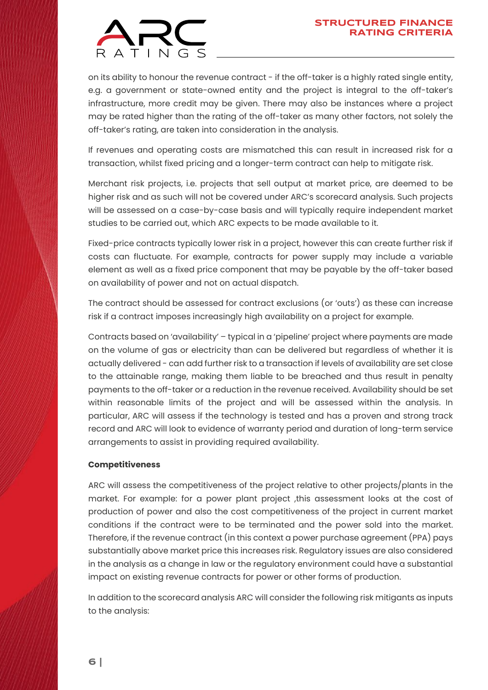

on its ability to honour the revenue contract - if the off-taker is a highly rated single entity, e.g. a government or state-owned entity and the project is integral to the off-taker's infrastructure, more credit may be given. There may also be instances where a project may be rated higher than the rating of the off-taker as many other factors, not solely the off-taker's rating, are taken into consideration in the analysis.

If revenues and operating costs are mismatched this can result in increased risk for a transaction, whilst fixed pricing and a longer-term contract can help to mitigate risk.

Merchant risk projects, i.e. projects that sell output at market price, are deemed to be higher risk and as such will not be covered under ARC's scorecard analysis. Such projects will be assessed on a case-by-case basis and will typically require independent market studies to be carried out, which ARC expects to be made available to it.

Fixed-price contracts typically lower risk in a project, however this can create further risk if costs can fluctuate. For example, contracts for power supply may include a variable element as well as a fixed price component that may be payable by the off-taker based on availability of power and not on actual dispatch.

The contract should be assessed for contract exclusions (or 'outs') as these can increase risk if a contract imposes increasingly high availability on a project for example.

Contracts based on 'availability' – typical in a 'pipeline' project where payments are made on the volume of gas or electricity than can be delivered but regardless of whether it is actually delivered - can add further risk to a transaction if levels of availability are set close to the attainable range, making them liable to be breached and thus result in penalty payments to the off-taker or a reduction in the revenue received. Availability should be set within reasonable limits of the project and will be assessed within the analysis. In particular, ARC will assess if the technology is tested and has a proven and strong track record and ARC will look to evidence of warranty period and duration of long-term service arrangements to assist in providing required availability.

#### **Competitiveness**

ARC will assess the competitiveness of the project relative to other projects/plants in the market. For example: for a power plant project ,this assessment looks at the cost of production of power and also the cost competitiveness of the project in current market conditions if the contract were to be terminated and the power sold into the market. Therefore, if the revenue contract (in this context a power purchase agreement (PPA) pays substantially above market price this increases risk. Regulatory issues are also considered in the analysis as a change in law or the regulatory environment could have a substantial impact on existing revenue contracts for power or other forms of production.

In addition to the scorecard analysis ARC will consider the following risk mitigants as inputs to the analysis: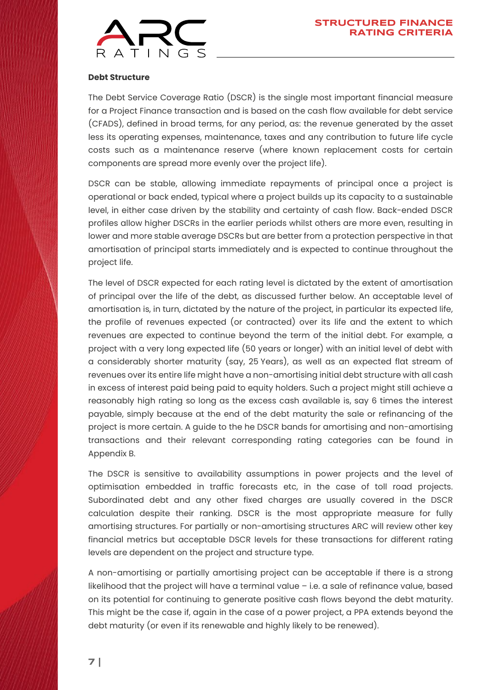

#### **Debt Structure**

The Debt Service Coverage Ratio (DSCR) is the single most important financial measure for a Project Finance transaction and is based on the cash flow available for debt service (CFADS), defined in broad terms, for any period, as: the revenue generated by the asset less its operating expenses, maintenance, taxes and any contribution to future life cycle costs such as a maintenance reserve (where known replacement costs for certain components are spread more evenly over the project life).

DSCR can be stable, allowing immediate repayments of principal once a project is operational or back ended, typical where a project builds up its capacity to a sustainable level, in either case driven by the stability and certainty of cash flow. Back-ended DSCR profiles allow higher DSCRs in the earlier periods whilst others are more even, resulting in lower and more stable average DSCRs but are better from a protection perspective in that amortisation of principal starts immediately and is expected to continue throughout the project life.

The level of DSCR expected for each rating level is dictated by the extent of amortisation of principal over the life of the debt, as discussed further below. An acceptable level of amortisation is, in turn, dictated by the nature of the project, in particular its expected life, the profile of revenues expected (or contracted) over its life and the extent to which revenues are expected to continue beyond the term of the initial debt. For example, a project with a very long expected life (50 years or longer) with an initial level of debt with a considerably shorter maturity (say, 25 Years), as well as an expected flat stream of revenues over its entire life might have a non-amortising initial debt structure with all cash in excess of interest paid being paid to equity holders. Such a project might still achieve a reasonably high rating so long as the excess cash available is, say 6 times the interest payable, simply because at the end of the debt maturity the sale or refinancing of the project is more certain. A guide to the he DSCR bands for amortising and non-amortising transactions and their relevant corresponding rating categories can be found in Appendix B.

The DSCR is sensitive to availability assumptions in power projects and the level of optimisation embedded in traffic forecasts etc, in the case of toll road projects. Subordinated debt and any other fixed charges are usually covered in the DSCR calculation despite their ranking. DSCR is the most appropriate measure for fully amortising structures. For partially or non-amortising structures ARC will review other key financial metrics but acceptable DSCR levels for these transactions for different rating levels are dependent on the project and structure type.

A non-amortising or partially amortising project can be acceptable if there is a strong likelihood that the project will have a terminal value – i.e. a sale of refinance value, based on its potential for continuing to generate positive cash flows beyond the debt maturity. This might be the case if, again in the case of a power project, a PPA extends beyond the debt maturity (or even if its renewable and highly likely to be renewed).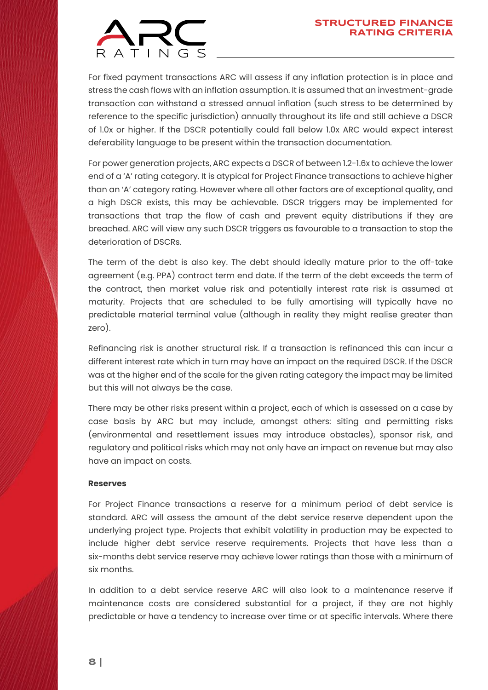

For fixed payment transactions ARC will assess if any inflation protection is in place and stress the cash flows with an inflation assumption. It is assumed that an investment-grade transaction can withstand a stressed annual inflation (such stress to be determined by reference to the specific jurisdiction) annually throughout its life and still achieve a DSCR of 1.0x or higher. If the DSCR potentially could fall below 1.0x ARC would expect interest deferability language to be present within the transaction documentation.

For power generation projects, ARC expects a DSCR of between 1.2-1.6x to achieve the lower end of a 'A' rating category. It is atypical for Project Finance transactions to achieve higher than an 'A' category rating. However where all other factors are of exceptional quality, and a high DSCR exists, this may be achievable. DSCR triggers may be implemented for transactions that trap the flow of cash and prevent equity distributions if they are breached. ARC will view any such DSCR triggers as favourable to a transaction to stop the deterioration of DSCRs.

The term of the debt is also key. The debt should ideally mature prior to the off-take agreement (e.g. PPA) contract term end date. If the term of the debt exceeds the term of the contract, then market value risk and potentially interest rate risk is assumed at maturity. Projects that are scheduled to be fully amortising will typically have no predictable material terminal value (although in reality they might realise greater than zero).

Refinancing risk is another structural risk. If a transaction is refinanced this can incur a different interest rate which in turn may have an impact on the required DSCR. If the DSCR was at the higher end of the scale for the given rating category the impact may be limited but this will not always be the case.

There may be other risks present within a project, each of which is assessed on a case by case basis by ARC but may include, amongst others: siting and permitting risks (environmental and resettlement issues may introduce obstacles), sponsor risk, and regulatory and political risks which may not only have an impact on revenue but may also have an impact on costs.

#### **Reserves**

For Project Finance transactions a reserve for a minimum period of debt service is standard. ARC will assess the amount of the debt service reserve dependent upon the underlying project type. Projects that exhibit volatility in production may be expected to include higher debt service reserve requirements. Projects that have less than a six-months debt service reserve may achieve lower ratings than those with a minimum of six months.

In addition to a debt service reserve ARC will also look to a maintenance reserve if maintenance costs are considered substantial for a project, if they are not highly predictable or have a tendency to increase over time or at specific intervals. Where there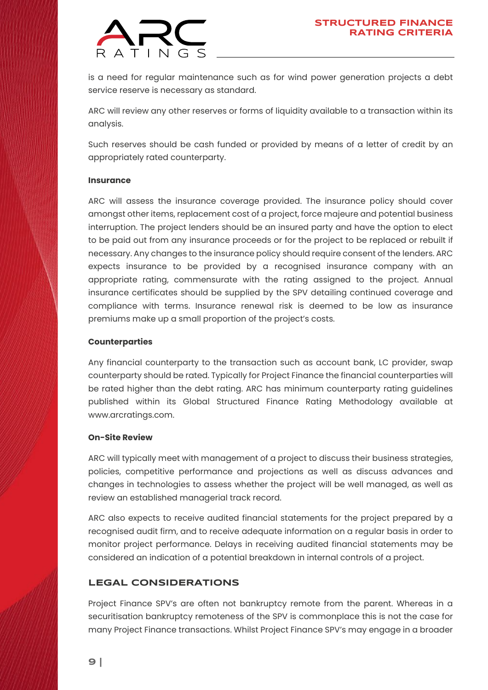

is a need for regular maintenance such as for wind power generation projects a debt service reserve is necessary as standard.

ARC will review any other reserves or forms of liquidity available to a transaction within its analysis.

Such reserves should be cash funded or provided by means of a letter of credit by an appropriately rated counterparty.

#### **Insurance**

ARC will assess the insurance coverage provided. The insurance policy should cover amongst other items, replacement cost of a project, force majeure and potential business interruption. The project lenders should be an insured party and have the option to elect to be paid out from any insurance proceeds or for the project to be replaced or rebuilt if necessary. Any changes to the insurance policy should require consent of the lenders. ARC expects insurance to be provided by a recognised insurance company with an appropriate rating, commensurate with the rating assigned to the project. Annual insurance certificates should be supplied by the SPV detailing continued coverage and compliance with terms. Insurance renewal risk is deemed to be low as insurance premiums make up a small proportion of the project's costs.

#### **Counterparties**

Any financial counterparty to the transaction such as account bank, LC provider, swap counterparty should be rated. Typically for Project Finance the financial counterparties will be rated higher than the debt rating. ARC has minimum counterparty rating guidelines published within its Global Structured Finance Rating Methodology available at [www.arcratings.com.](https://arcratings.com/wp-content/uploads/2021/06/ARC-Ratings-Global-Structured-Finance-Criteria-30-Sep-2021.pdf)

#### **On-Site Review**

ARC will typically meet with management of a project to discuss their business strategies, policies, competitive performance and projections as well as discuss advances and changes in technologies to assess whether the project will be well managed, as well as review an established managerial track record.

ARC also expects to receive audited financial statements for the project prepared by a recognised audit firm, and to receive adequate information on a regular basis in order to monitor project performance. Delays in receiving audited financial statements may be considered an indication of a potential breakdown in internal controls of a project.

### **LEGAL CONSIDERATIONS**

Project Finance SPV's are often not bankruptcy remote from the parent. Whereas in a securitisation bankruptcy remoteness of the SPV is commonplace this is not the case for many Project Finance transactions. Whilst Project Finance SPV's may engage in a broader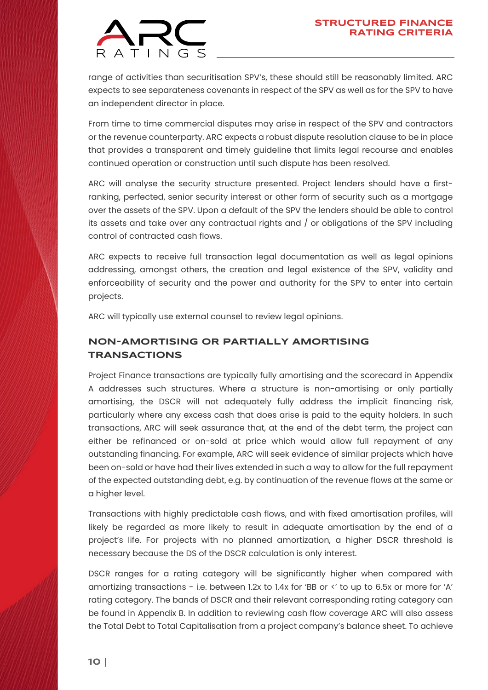

range of activities than securitisation SPV's, these should still be reasonably limited. ARC expects to see separateness covenants in respect of the SPV as well as for the SPV to have an independent director in place.

From time to time commercial disputes may arise in respect of the SPV and contractors or the revenue counterparty. ARC expects a robust dispute resolution clause to be in place that provides a transparent and timely guideline that limits legal recourse and enables continued operation or construction until such dispute has been resolved.

ARC will analyse the security structure presented. Project lenders should have a firstranking, perfected, senior security interest or other form of security such as a mortgage over the assets of the SPV. Upon a default of the SPV the lenders should be able to control its assets and take over any contractual rights and / or obligations of the SPV including control of contracted cash flows.

ARC expects to receive full transaction legal documentation as well as legal opinions addressing, amongst others, the creation and legal existence of the SPV, validity and enforceability of security and the power and authority for the SPV to enter into certain projects.

ARC will typically use external counsel to review legal opinions.

## **NON-AMORTISING OR PARTIALLY AMORTISING TRANSACTIONS**

Project Finance transactions are typically fully amortising and the scorecard in Appendix A addresses such structures. Where a structure is non-amortising or only partially amortising, the DSCR will not adequately fully address the implicit financing risk, particularly where any excess cash that does arise is paid to the equity holders. In such transactions, ARC will seek assurance that, at the end of the debt term, the project can either be refinanced or on-sold at price which would allow full repayment of any outstanding financing. For example, ARC will seek evidence of similar projects which have been on-sold or have had their lives extended in such a way to allow for the full repayment of the expected outstanding debt, e.g. by continuation of the revenue flows at the same or a higher level.

Transactions with highly predictable cash flows, and with fixed amortisation profiles, will likely be regarded as more likely to result in adequate amortisation by the end of a project's life. For projects with no planned amortization, a higher DSCR threshold is necessary because the DS of the DSCR calculation is only interest.

DSCR ranges for a rating category will be significantly higher when compared with amortizing transactions - i.e. between 1.2x to 1.4x for 'BB or <' to up to 6.5x or more for 'A' rating category. The bands of DSCR and their relevant corresponding rating category can be found in Appendix B. In addition to reviewing cash flow coverage ARC will also assess the Total Debt to Total Capitalisation from a project company's balance sheet. To achieve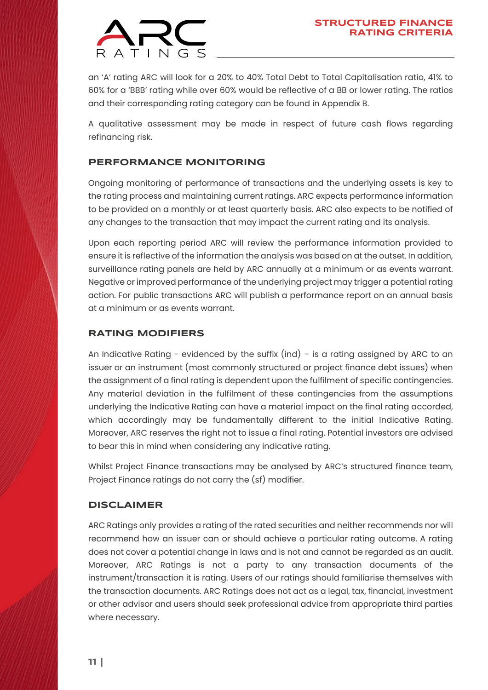

an 'A' rating ARC will look for a 20% to 40% Total Debt to Total Capitalisation ratio, 41% to 60% for a 'BBB' rating while over 60% would be reflective of a BB or lower rating. The ratios and their corresponding rating category can be found in Appendix B.

A qualitative assessment may be made in respect of future cash flows regarding refinancing risk.

### **PERFORMANCE MONITORING**

Ongoing monitoring of performance of transactions and the underlying assets is key to the rating process and maintaining current ratings. ARC expects performance information to be provided on a monthly or at least quarterly basis. ARC also expects to be notified of any changes to the transaction that may impact the current rating and its analysis.

Upon each reporting period ARC will review the performance information provided to ensure it is reflective of the information the analysis was based on at the outset. In addition, surveillance rating panels are held by ARC annually at a minimum or as events warrant. Negative or improved performance of the underlying project may trigger a potential rating action. For public transactions ARC will publish a performance report on an annual basis at a minimum or as events warrant.

### **RATING MODIFIERS**

An Indicative Rating - evidenced by the suffix  $(ind)$  - is a rating assigned by ARC to an issuer or an instrument (most commonly structured or project finance debt issues) when the assignment of a final rating is dependent upon the fulfilment of specific contingencies. Any material deviation in the fulfilment of these contingencies from the assumptions underlying the Indicative Rating can have a material impact on the final rating accorded, which accordingly may be fundamentally different to the initial Indicative Rating. Moreover, ARC reserves the right not to issue a final rating. Potential investors are advised to bear this in mind when considering any indicative rating.

Whilst Project Finance transactions may be analysed by ARC's structured finance team, Project Finance ratings do not carry the (sf) modifier.

#### **DISCLAIMER**

ARC Ratings only provides a rating of the rated securities and neither recommends nor will recommend how an issuer can or should achieve a particular rating outcome. A rating does not cover a potential change in laws and is not and cannot be regarded as an audit. Moreover, ARC Ratings is not a party to any transaction documents of the instrument/transaction it is rating. Users of our ratings should familiarise themselves with the transaction documents. ARC Ratings does not act as a legal, tax, financial, investment or other advisor and users should seek professional advice from appropriate third parties where necessary.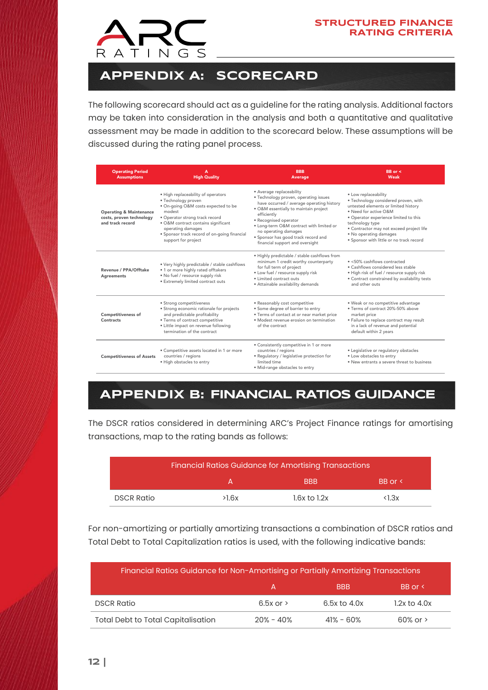

# **APPENDIX A: SCORECARD**

The following scorecard should act as a guideline for the rating analysis. Additional factors may be taken into consideration in the analysis and both a quantitative and qualitative assessment may be made in addition to the scorecard below. These assumptions will be discussed during the rating panel process.

| <b>Operating Period</b><br><b>Assumptions</b>                                      | A<br><b>High Quality</b>                                                                                                                                                                                                                                                        | <b>BBB</b><br><b>Average</b>                                                                                                                                                                                                                                                                                                                  | $BB$ or $\leq$<br>Weak                                                                                                                                                                                                                                                                                      |
|------------------------------------------------------------------------------------|---------------------------------------------------------------------------------------------------------------------------------------------------------------------------------------------------------------------------------------------------------------------------------|-----------------------------------------------------------------------------------------------------------------------------------------------------------------------------------------------------------------------------------------------------------------------------------------------------------------------------------------------|-------------------------------------------------------------------------------------------------------------------------------------------------------------------------------------------------------------------------------------------------------------------------------------------------------------|
| <b>Operating &amp; Maintenance</b><br>costs, proven technology<br>and track record | · High replaceability of operators<br>· Technology proven<br>. On-going O&M costs expected to be<br>modest<br>• Operator strong track record<br>• O&M contract contains significant<br>operating damages<br>· Sponsor track record of on-going financial<br>support for project | · Average replaceability<br>· Technology proven, operating issues<br>have occurred / average operating history<br>· O&M essentially to maintain project<br>efficiently<br>• Recognised operator<br>· Long-term O&M contract with limited or<br>no operating damages<br>· Sponsor has good track record and<br>financial support and oversight | · Low replaceability<br>· Technology considered proven, with<br>untested elements or limited history<br>. Need for active O&M<br>. Operator experience limited to this<br>technology type<br>· Contractor may not exceed project life<br>• No operating damages<br>. Sponsor with little or no track record |
| Revenue / PPA/Offtake<br>Agreements                                                | . Very highly predictable / stable cashflows<br>• 1 or more highly rated offtakers<br>. No fuel / resource supply risk<br>· Extremely limited contract outs                                                                                                                     | . Highly predictable / stable cashflows from<br>minimum 1 credit worthy counterparty<br>for full term of project<br>. Low fuel / resource supply risk<br>· Limited contract outs<br>· Attainable availability demands                                                                                                                         | $\bullet$ <50% cashflows contracted<br>· Cashflows considered less stable<br>. High risk of fuel / resource supply risk<br>• Contract constrained by availability tests<br>and other outs                                                                                                                   |
| <b>Competitiveness of</b><br>Contracts                                             | • Strong competitiveness<br>· Strong economic rationale for projects<br>and predictable profitability<br>• Terms of contract competitive<br>· Little impact on revenue following<br>termination of the contract                                                                 | · Reasonably cost competitive<br>· Some degree of barrier to entry<br>· Terms of contact at or near market price<br>· Modest revenue erosion on termination<br>of the contract                                                                                                                                                                | . Weak or no competitive advantage<br>. Terms of contract 20%-50% above<br>market price<br>· Failure to replace contract may result<br>in a lack of revenue and potential<br>default within 2 years                                                                                                         |
| <b>Competitiveness of Assets</b>                                                   | • Competitive assets located in 1 or more<br>countries / regions<br>· High obstacles to entry                                                                                                                                                                                   | • Consistently competitive in 1 or more<br>countries / regions<br>· Regulatory / legislative protection for<br>limited time<br>· Mid-range obstacles to entry                                                                                                                                                                                 | • Legislative or regulatory obstacles<br>. Low obstacles to entry<br>. New entrants a severe threat to business                                                                                                                                                                                             |

# **APPENDIX B: FINANCIAL RATIOS GUIDANCE**

The DSCR ratios considered in determining ARC's Project Finance ratings for amortising transactions, map to the rating bands as follows:

| <b>Financial Ratios Guidance for Amortising Transactions</b> |       |                  |                |  |  |
|--------------------------------------------------------------|-------|------------------|----------------|--|--|
|                                                              |       | <b>BBB</b>       | BB or <        |  |  |
| <b>DSCR Ratio</b>                                            | >1.6x | $1.6x$ to $1.2x$ | $\langle$ l.3x |  |  |

For non-amortizing or partially amortizing transactions a combination of DSCR ratios and Total Debt to Total Capitalization ratios is used, with the following indicative bands:

| Financial Ratios Guidance for Non-Amortising or Partially Amortizing Transactions |                 |                  |                  |  |  |  |
|-----------------------------------------------------------------------------------|-----------------|------------------|------------------|--|--|--|
|                                                                                   | А               | <b>BBB</b>       | BB or <          |  |  |  |
| <b>DSCR Ratio</b>                                                                 | $6.5x$ or $\ge$ | $6.5x$ to $4.0x$ | $1.2x$ to $4.0x$ |  |  |  |
| <b>Total Debt to Total Capitalisation</b>                                         | $20\% - 40\%$   | $41\% - 60\%$    | $60\%$ or $\ge$  |  |  |  |